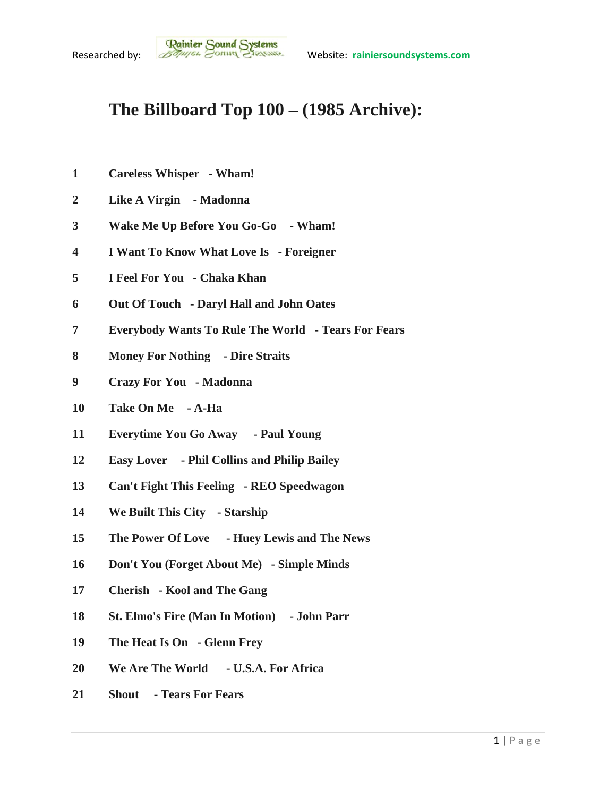## **The Billboard Top 100 – (1985 Archive):**

- **Careless Whisper - Wham!**
- **Like A Virgin - Madonna**
- **Wake Me Up Before You Go-Go - Wham!**
- **I Want To Know What Love Is - Foreigner**
- **I Feel For You - Chaka Khan**
- **Out Of Touch - Daryl Hall and John Oates**
- **Everybody Wants To Rule The World - Tears For Fears**
- **Money For Nothing - Dire Straits**
- **Crazy For You - Madonna**
- **Take On Me - A-Ha**
- **Everytime You Go Away - Paul Young**
- **Easy Lover - Phil Collins and Philip Bailey**
- **Can't Fight This Feeling - REO Speedwagon**
- **We Built This City - Starship**
- **The Power Of Love - Huey Lewis and The News**
- **Don't You (Forget About Me) - Simple Minds**
- **Cherish - Kool and The Gang**
- **St. Elmo's Fire (Man In Motion) - John Parr**
- **The Heat Is On - Glenn Frey**
- **We Are The World - U.S.A. For Africa**
- **Shout - Tears For Fears**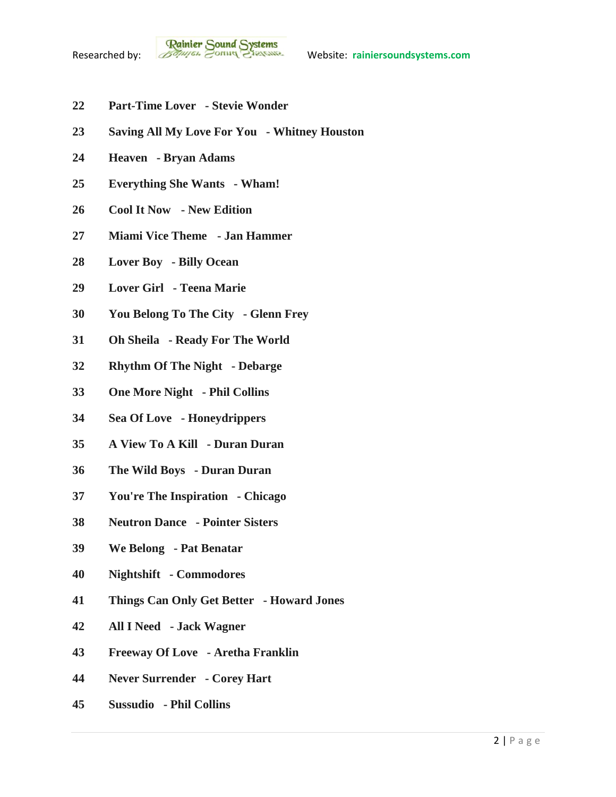- **Part-Time Lover - Stevie Wonder**
- **Saving All My Love For You - Whitney Houston**
- **Heaven - Bryan Adams**
- **Everything She Wants - Wham!**
- **Cool It Now - New Edition**
- **Miami Vice Theme - Jan Hammer**
- **Lover Boy - Billy Ocean**
- **Lover Girl - Teena Marie**
- **You Belong To The City - Glenn Frey**
- **Oh Sheila - Ready For The World**
- **Rhythm Of The Night - Debarge**
- **One More Night - Phil Collins**
- **Sea Of Love - Honeydrippers**
- **A View To A Kill - Duran Duran**
- **The Wild Boys - Duran Duran**
- **You're The Inspiration - Chicago**
- **Neutron Dance - Pointer Sisters**
- **We Belong - Pat Benatar**
- **Nightshift - Commodores**
- **Things Can Only Get Better - Howard Jones**
- **All I Need - Jack Wagner**
- **Freeway Of Love - Aretha Franklin**
- **Never Surrender - Corey Hart**
- **Sussudio - Phil Collins**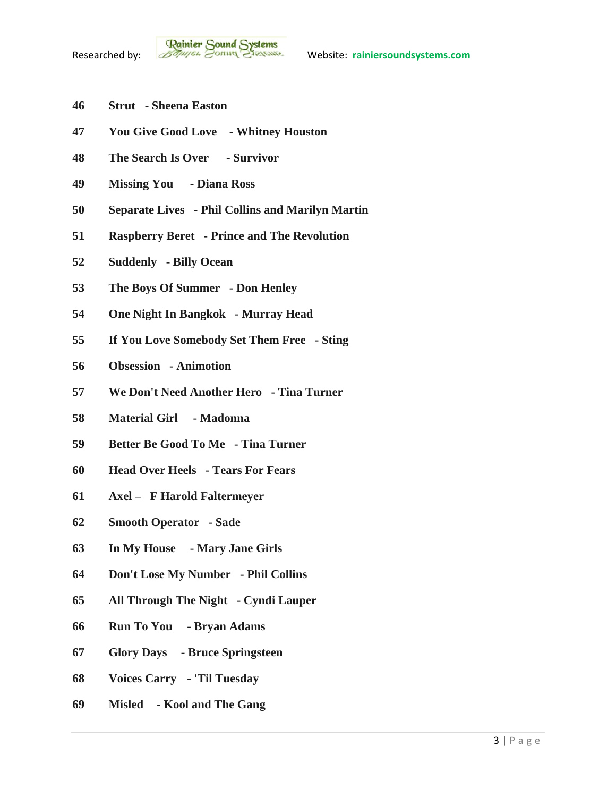- **Strut - Sheena Easton**
- **You Give Good Love - Whitney Houston**
- **The Search Is Over - Survivor**
- **Missing You - Diana Ross**
- **Separate Lives - Phil Collins and Marilyn Martin**
- **Raspberry Beret - Prince and The Revolution**
- **Suddenly - Billy Ocean**
- **The Boys Of Summer - Don Henley**
- **One Night In Bangkok - Murray Head**
- **If You Love Somebody Set Them Free - Sting**
- **Obsession - Animotion**
- **We Don't Need Another Hero - Tina Turner**
- **Material Girl - Madonna**
- **Better Be Good To Me - Tina Turner**
- **Head Over Heels - Tears For Fears**
- **Axel F Harold Faltermeyer**
- **Smooth Operator - Sade**
- **In My House - Mary Jane Girls**
- **Don't Lose My Number - Phil Collins**
- **All Through The Night - Cyndi Lauper**
- **Run To You - Bryan Adams**
- **Glory Days - Bruce Springsteen**
- **Voices Carry - 'Til Tuesday**
- **Misled - Kool and The Gang**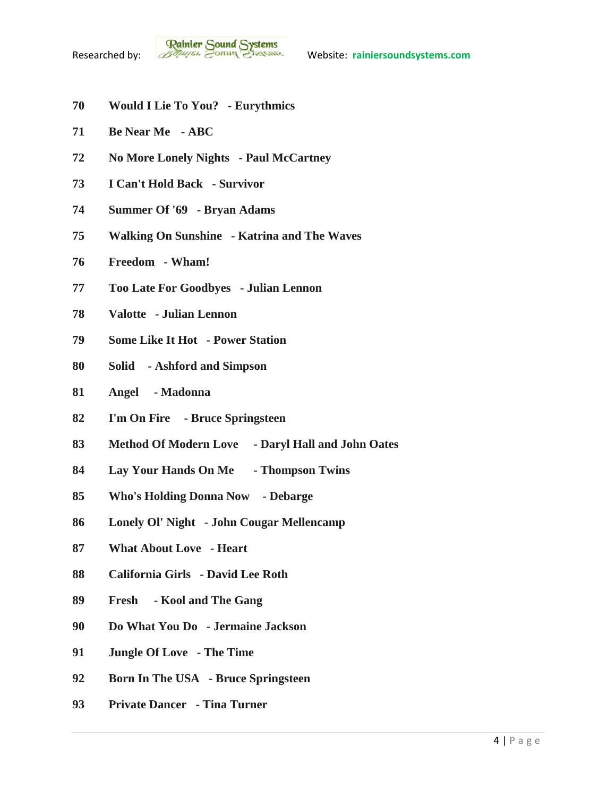- **Would I Lie To You? - Eurythmics**
- **Be Near Me - ABC**
- **No More Lonely Nights - Paul McCartney**
- **I Can't Hold Back - Survivor**
- **Summer Of '69 - Bryan Adams**
- **Walking On Sunshine - Katrina and The Waves**
- **Freedom - Wham!**
- **Too Late For Goodbyes - Julian Lennon**
- **Valotte - Julian Lennon**
- **Some Like It Hot - Power Station**
- **Solid - Ashford and Simpson**
- **Angel - Madonna**
- **I'm On Fire - Bruce Springsteen**
- **Method Of Modern Love - Daryl Hall and John Oates**
- **Lay Your Hands On Me - Thompson Twins**
- **Who's Holding Donna Now - Debarge**
- **Lonely Ol' Night - John Cougar Mellencamp**
- **What About Love - Heart**
- **California Girls - David Lee Roth**
- **Fresh - Kool and The Gang**
- **Do What You Do - Jermaine Jackson**
- **Jungle Of Love - The Time**
- **Born In The USA - Bruce Springsteen**
- **Private Dancer - Tina Turner**